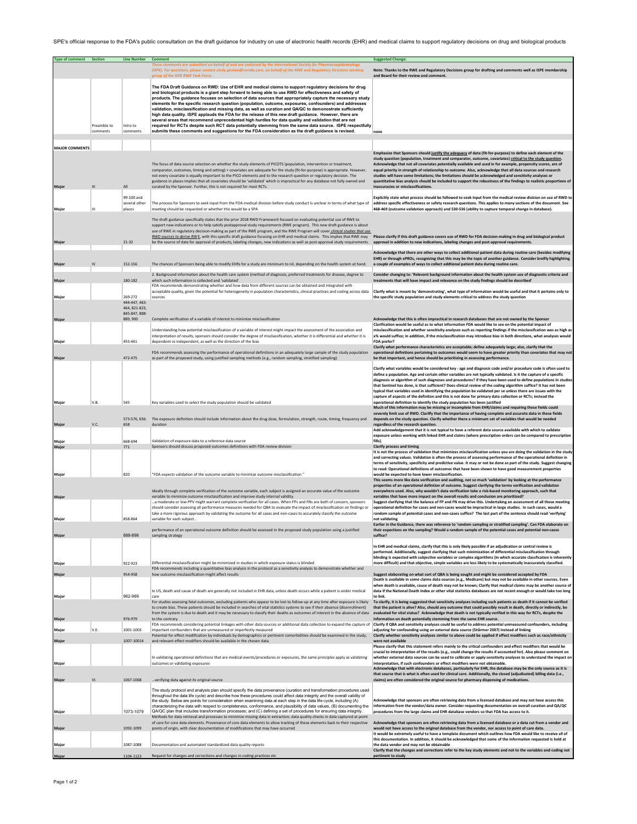SPE's official response to the FDA's public consultation on the draft guidance for industry on use of electronic health records (EHR) and medical claims to support regulatory decisions on drug and biological products

| <b>Type of comment</b> Section |             | Line Number Comment            | ents are submitted on behalf of and are endorsed by the International Society for Pharmacoepidemiology                                                                                                                                                                                                                                                                                                                                                                                                                                                                                                                                                                                                                                                                                                                                                                                   | <b>Suggested Change:</b>                                                                                                                                                                                                                                                                                                                                                                                                                                                                                                                                                                                                                                                                                    |
|--------------------------------|-------------|--------------------------------|------------------------------------------------------------------------------------------------------------------------------------------------------------------------------------------------------------------------------------------------------------------------------------------------------------------------------------------------------------------------------------------------------------------------------------------------------------------------------------------------------------------------------------------------------------------------------------------------------------------------------------------------------------------------------------------------------------------------------------------------------------------------------------------------------------------------------------------------------------------------------------------|-------------------------------------------------------------------------------------------------------------------------------------------------------------------------------------------------------------------------------------------------------------------------------------------------------------------------------------------------------------------------------------------------------------------------------------------------------------------------------------------------------------------------------------------------------------------------------------------------------------------------------------------------------------------------------------------------------------|
|                                |             |                                | (ISPE). For auestions, please contact cindy, airman@cerobs.com, on behalf of the RWE and Reaulatory Decisions working                                                                                                                                                                                                                                                                                                                                                                                                                                                                                                                                                                                                                                                                                                                                                                    | Note: Thanks to the RWE and Regulatory Decisions group for drafting and comments well as ISPE membership                                                                                                                                                                                                                                                                                                                                                                                                                                                                                                                                                                                                    |
|                                |             |                                | group of the ISPE RWE Task Force                                                                                                                                                                                                                                                                                                                                                                                                                                                                                                                                                                                                                                                                                                                                                                                                                                                         | and Board for their review and comment.                                                                                                                                                                                                                                                                                                                                                                                                                                                                                                                                                                                                                                                                     |
|                                | Preamble to | Intro to                       | The FDA Draft Guidance on RWD: Use of EHR and medical claims to support regulatory decisions for drug<br>and biological products is a giant step forward to being able to use RWD for effectiveness and safety of<br>products. The guidance focuses on selection of data sources that appropriately capture the necessary study<br>elements for the specific research question (population, outcome, exposures, confounders) and addresses<br>validation, misclassification and missing data, as well as curation and QA/QC to demonostrate sufficiently<br>high data quality. ISPE applauds the FDA for the release of this new draft guidance. However, there are<br>several areas that recommend unprecedented high hurdles for data quality and validation that are not<br>required for RCTs despite such RCT data potentially stemming from the same data source. ISPE respectfully |                                                                                                                                                                                                                                                                                                                                                                                                                                                                                                                                                                                                                                                                                                             |
|                                | comments    | comments                       | submits these comments and suggestions for the FDA consideration as the draft guidance is revised.                                                                                                                                                                                                                                                                                                                                                                                                                                                                                                                                                                                                                                                                                                                                                                                       | none                                                                                                                                                                                                                                                                                                                                                                                                                                                                                                                                                                                                                                                                                                        |
|                                |             |                                |                                                                                                                                                                                                                                                                                                                                                                                                                                                                                                                                                                                                                                                                                                                                                                                                                                                                                          |                                                                                                                                                                                                                                                                                                                                                                                                                                                                                                                                                                                                                                                                                                             |
| <b>MAJOR COMMENTS</b>          |             |                                |                                                                                                                                                                                                                                                                                                                                                                                                                                                                                                                                                                                                                                                                                                                                                                                                                                                                                          | Emphasize that Sponsors should justify the adequacy of data (fit-for-purpose) to define each element of the                                                                                                                                                                                                                                                                                                                                                                                                                                                                                                                                                                                                 |
| Major                          |             | All                            | The focus of data source selection on whether the study elements of PICOTS (population, intervention or treatment,<br>comparator, outcomes, timing and setting) + covariates are adequate for the study (fit-for-purpose) is appropriate. However,<br>not every covariate is equally important to the PICO elements and to the research question or regulatory decision. The<br>guidance in places implies that all covariates should be 'validated' which is impractical for any database not fully owned and<br>curated by the Sponsor. Further, this is not required for most RCTs.                                                                                                                                                                                                                                                                                                   | study question (population, treatment and comparator, outcome, covariates) critical to the study question.<br>Acknowledge that not all covariates potentially available and used in for example, propensity scores, are of<br>equal priority in strength of relationship to outcome. Also, acknowledge that all data sources and research<br>studies will have some limitations; the limitations should be acknowledged and sensitivity analyses or<br>quantitative bias analysis should be included to support the robustness of the findings to realistic proportions of<br>inaccuracies or misclassifications.                                                                                           |
|                                |             | 99-100 and                     |                                                                                                                                                                                                                                                                                                                                                                                                                                                                                                                                                                                                                                                                                                                                                                                                                                                                                          | Explicitly state what process should be followed to seek input from the medical review division on use of RWD to                                                                                                                                                                                                                                                                                                                                                                                                                                                                                                                                                                                            |
| Major                          | Ш           | several other<br>places        | The process for Sponsors to seek input from the FDA medical division before study conduct is unclear in terms of what type of<br>meeting should be requested or whether this would be a SPA                                                                                                                                                                                                                                                                                                                                                                                                                                                                                                                                                                                                                                                                                              | address specific effectiveness or safety research questions. This applies to many sections of the document. See<br>468-469 (outcome validation approach) and 530-536 (ability to capture temporal change in database).                                                                                                                                                                                                                                                                                                                                                                                                                                                                                      |
| Major                          |             | 21-32                          | The draft guidance specifically states that the prior 2018 RWD Framework focused on evaluating potential use of RWE to<br>support new indications or to help satisfy postapproval study requirements (RWE program). This new draft guidance is about<br>use of RWE in regulatory decision-making as part of the RWE program, and the RWE Program will cover clinical studies that use<br>RWD sources to derive RW E, with this specific draft guidance focusing on EHR and medical claims. This implies that RWE may<br>be the source of data for approval of products, labeling changes, new indications as well as post-approval study requirements.                                                                                                                                                                                                                                   | Please clarify if this draft guidance covers use of RWD for FDA decision-making in drug and biological product<br>approval in addition to new indications, labeling changes and post-approval requirements.                                                                                                                                                                                                                                                                                                                                                                                                                                                                                                 |
|                                |             |                                |                                                                                                                                                                                                                                                                                                                                                                                                                                                                                                                                                                                                                                                                                                                                                                                                                                                                                          | Acknowledge that there are other ways to collect additional patient data during routine care (besides modifying                                                                                                                                                                                                                                                                                                                                                                                                                                                                                                                                                                                             |
| Major                          |             | 152-156                        | The chances of Sponsors being able to modify EHRs for a study are minimum to nil, depending on the health system at hand.                                                                                                                                                                                                                                                                                                                                                                                                                                                                                                                                                                                                                                                                                                                                                                | EHR) or through ePROs, recognizing that this may be the topic of another guidance. Consider breifly highlighting<br>a couple of examples of ways to collect addtional patient data during routine care.                                                                                                                                                                                                                                                                                                                                                                                                                                                                                                     |
| Major                          |             | 180-182                        | 2. Background information about the health care system (method of diagnosis, preferred treatments for disease, degree to<br>which such information is collected and 'validated'                                                                                                                                                                                                                                                                                                                                                                                                                                                                                                                                                                                                                                                                                                          | Consider changing to: 'Relevant background information about the health system use of diagnostic criteria and<br>treatments that will have impact and relevance on the study findings should be described'                                                                                                                                                                                                                                                                                                                                                                                                                                                                                                  |
|                                |             | 269-272                        | FDA recommends demonstrating whether and how data from different sources can be obtained and integrated with<br>acceptable quality, given the potential for heterogeneity in population characteristics, clinical practices and coding across data<br>sources                                                                                                                                                                                                                                                                                                                                                                                                                                                                                                                                                                                                                            | Clarify what is meant by 'demonstrating', what type of information would be useful and that it pertains only to                                                                                                                                                                                                                                                                                                                                                                                                                                                                                                                                                                                             |
| Major                          |             | 444-447, 463-<br>464, 821-823, |                                                                                                                                                                                                                                                                                                                                                                                                                                                                                                                                                                                                                                                                                                                                                                                                                                                                                          | the specific study population and study elements critical to address the study question                                                                                                                                                                                                                                                                                                                                                                                                                                                                                                                                                                                                                     |
| Major                          |             | 845-847 888-<br>889, 900       | Complete verification of a variable of interest to minimize misclassification                                                                                                                                                                                                                                                                                                                                                                                                                                                                                                                                                                                                                                                                                                                                                                                                            | Acknowledge that this is often impractical in research databases that are not owned by the Sponsor                                                                                                                                                                                                                                                                                                                                                                                                                                                                                                                                                                                                          |
|                                |             |                                | Understanding how potential misclassification of a variable of interest might impact the assessment of the association and<br>interpretation of results, sponsors should consider the degree of misclassification, whether it is differential and whether it is                                                                                                                                                                                                                                                                                                                                                                                                                                                                                                                                                                                                                          | Clarification would be useful as to what information FDA would like to see on the potential impact of<br>misclassification and whether sensitivity analyses such as reporting findings if the misclassifcation was as high as<br>x% would suffice; in addition, if the misclassification may introduce bias in both directions, what analyses would                                                                                                                                                                                                                                                                                                                                                         |
| Major                          |             | 455-461                        | dependent vs independent, as well as the direction of the bias                                                                                                                                                                                                                                                                                                                                                                                                                                                                                                                                                                                                                                                                                                                                                                                                                           | FDA prefer?<br>Clarify what performance characteristics are acceptable; define adequately large; also, clarify that the                                                                                                                                                                                                                                                                                                                                                                                                                                                                                                                                                                                     |
| Major                          |             | 472-475                        | FDA recommends assessing the performance of operational definitions in an adequately large sample of the study population<br>as part of the proposed study, using justified sampling methods (e.g., random sampling, stratified sampling)                                                                                                                                                                                                                                                                                                                                                                                                                                                                                                                                                                                                                                                | operational definitions pertaining to outcomes would seem to have greater priority than covariates that may not<br>be that important, and hence should be prioritizing in assessing performance.                                                                                                                                                                                                                                                                                                                                                                                                                                                                                                            |
|                                |             |                                |                                                                                                                                                                                                                                                                                                                                                                                                                                                                                                                                                                                                                                                                                                                                                                                                                                                                                          | Clarify what variables would be considered key - age and diagnosis code and/or procedure code is often used to<br>define a population. Age and certain other variables are not typically validated. Is it the capture of a specific<br>diagnosis or algorithm of such diagnoses and procedures? if they have been used to define populations in studies<br>that Sentinel has done, is that sufficient? Does clinical review of the coding algorithm suffice? It has not been<br>typical that variables used in identifying the population be validated per se unless there are issues with the<br>capture of aspects of the definiton and this is not done for primary data collection or RCTs; instead the |
| Major                          | V.B.        | 545                            | Key variables used to select the study population should be validated                                                                                                                                                                                                                                                                                                                                                                                                                                                                                                                                                                                                                                                                                                                                                                                                                    | operational definition to identify the study population has been justified<br>Much of this information may be missing or incomplete from EHR/claims and requiring these fields could                                                                                                                                                                                                                                                                                                                                                                                                                                                                                                                        |
| Major                          | V.C.        | 658                            | 573-576, 656- The exposure definition should include information about the drug dose, formulation, strength, route, timing, frequency and<br>duration                                                                                                                                                                                                                                                                                                                                                                                                                                                                                                                                                                                                                                                                                                                                    | severely limit use of RWD. Clarilfy that the importance of having complete and accurate data in these fields<br>depends on the study question. Clarify whether there a minimum set of variables that would be needed<br>regardless of the research question.                                                                                                                                                                                                                                                                                                                                                                                                                                                |
|                                |             |                                |                                                                                                                                                                                                                                                                                                                                                                                                                                                                                                                                                                                                                                                                                                                                                                                                                                                                                          | Add acknowledgement that it is not typical to have a referent data source available with which to validate<br>exposure unless working with linked EHR and claims (where prescription orders can be compared to prescription                                                                                                                                                                                                                                                                                                                                                                                                                                                                                 |
| Major<br>Major                 |             | 668-694<br>771                 | Validation of exposure data to a reference data source<br>Sponsors should discuss proposed outcomes definitions with FDA review division                                                                                                                                                                                                                                                                                                                                                                                                                                                                                                                                                                                                                                                                                                                                                 | fills).<br><b>Clarify process and timing</b>                                                                                                                                                                                                                                                                                                                                                                                                                                                                                                                                                                                                                                                                |
|                                |             |                                |                                                                                                                                                                                                                                                                                                                                                                                                                                                                                                                                                                                                                                                                                                                                                                                                                                                                                          | It is not the process of validation that minimizes misclassification unless you are doing the validation in the study<br>and correcting values. Validation is often the process of assessing performance of the operational definition in<br>terms of sensitivity, specificity and predictive value. It may or not be done as part of the study. Suggest changing<br>to read: Operational definitions of outcomes that have been shown to have good measurement properties                                                                                                                                                                                                                                  |
| Major                          |             | 820                            | "FDA expects validation of the outcome variable to minimize outcome misclassification."                                                                                                                                                                                                                                                                                                                                                                                                                                                                                                                                                                                                                                                                                                                                                                                                  | would be expected to have lower misclassification.<br>This seems more like data verification and auditing, not so much 'validation' by looking at the performance<br>properties of an operational defintion of outcome. Suggest clarifying the terms verification and validation                                                                                                                                                                                                                                                                                                                                                                                                                            |
| Major                          |             |                                | Ideally through complete verification of the outcome variable, each subject is assigned an accurate value of the outcome<br>variable to minimize outcome misclassification and improve study internal validity.                                                                                                                                                                                                                                                                                                                                                                                                                                                                                                                                                                                                                                                                          | everywhere used. Also, why wouldn't data verification take a risk-based monitoring approach, such that<br>variables that have more impact on the overall results and conclusion are prioritized?                                                                                                                                                                                                                                                                                                                                                                                                                                                                                                            |
|                                |             |                                | a moderate or low PPV might warrant complete verification for all cases. When FPs and FNs are both of concern, sponsors<br>should consider assessing all performance measures needed for QBA to evaluate the impact of misclassification on findings or<br>take a more rigorous approach by validating the outcome for all cases and non-cases to accurately classify the outcome                                                                                                                                                                                                                                                                                                                                                                                                                                                                                                        | Suggest clarifying that the balance of FP and FN may drive this. Undertaking an assessment of all those meeting<br>operational definition for cases and non-cases would be impractical in large studies. In such cases, would a                                                                                                                                                                                                                                                                                                                                                                                                                                                                             |
| Major                          |             | 858-864                        | variable for each subject                                                                                                                                                                                                                                                                                                                                                                                                                                                                                                                                                                                                                                                                                                                                                                                                                                                                | random sample of potential cases and non-cases suffice? The last part of the sentence should read 'verifying'<br>not validating<br>Earlier in the Guidance, there was reference to 'random sampling or stratified sampling'. Can FDA elaborate on                                                                                                                                                                                                                                                                                                                                                                                                                                                           |
| Major                          |             | 888-898                        | performance of an operational outcome definition should be assessed in the proposed study population using a justified<br>sampling strategy                                                                                                                                                                                                                                                                                                                                                                                                                                                                                                                                                                                                                                                                                                                                              | their expections on the sampling? Would a random sample of the potential cases and potential non-cases<br>suffice?                                                                                                                                                                                                                                                                                                                                                                                                                                                                                                                                                                                          |
| Major                          |             | 922-923                        | Differential misclassification might be minimized in studies in which exposure status is blinded                                                                                                                                                                                                                                                                                                                                                                                                                                                                                                                                                                                                                                                                                                                                                                                         | In EHR and medical claims, clarify that this is only likely possible if an adjudication or central review is<br>performed. Additionally, suggest clarifying that such minimization of differential misclassification through<br>blinding is expected with subjective variables or complex algorithms (in which accurate classfication is inherently<br>more difficult) and that objective, simple variables are less likely to be systematically inaccurately classified.                                                                                                                                                                                                                                   |
| Major                          |             | 954-958                        | FDA recommends including a quantitative bias analysis in the protocol as a sensitivity analysis to demonstrate whether and<br>how outcome misclassification might affect results                                                                                                                                                                                                                                                                                                                                                                                                                                                                                                                                                                                                                                                                                                         | Suggest elaborating on what sort of QBA is being sought and might be considered accepted by FDA                                                                                                                                                                                                                                                                                                                                                                                                                                                                                                                                                                                                             |
|                                |             |                                | In US, death and cause of death are generally not included in EHR data, unless death occurs while a patient is under medical                                                                                                                                                                                                                                                                                                                                                                                                                                                                                                                                                                                                                                                                                                                                                             | Death is available in some claims data sources (e.g., Medicare) but may not be available in other sources. Even<br>when death is available, cause of death may not be known; Clarify that medical claims may be another source of<br>data if the National Death Index or other vital statistics databases are not recent enough or would take too long                                                                                                                                                                                                                                                                                                                                                      |
| Major                          |             | 962-969                        | care<br>For studies assessing fatal outcomes, excluding patients who appear to be lost to follow-up at any time after exposure is likely                                                                                                                                                                                                                                                                                                                                                                                                                                                                                                                                                                                                                                                                                                                                                 | to link.<br>To clarify, it is being suggested that sensitivity analyses including such patients as death if it cannot be verified                                                                                                                                                                                                                                                                                                                                                                                                                                                                                                                                                                           |
|                                |             |                                | to create bias. These patients should be included in searches of vital statistics systems to see if their absence (disenrollment)<br>from the system is due to death and it may be necessary to classify their deaths as outcomes of interest in the absence of data                                                                                                                                                                                                                                                                                                                                                                                                                                                                                                                                                                                                                     | that the patient is alive? Also, should any outcome that could possibly result in death, directly or indirectly, be<br>evaluated for vital status? Acknowledge that death is not typically verified in this way for RCTs, despite the                                                                                                                                                                                                                                                                                                                                                                                                                                                                       |
| Major<br>Major                 | V.E.        | 976-979<br>1001-1003           | FDA recommends considering potential linkages with other data sources or additional data collection to expand the capture of <b>Clarify if QBA and sensitivity analyses could be useful to address potential unmeasured confound</b><br>important confounders that are unmeasured or imperfectly measured                                                                                                                                                                                                                                                                                                                                                                                                                                                                                                                                                                                | information on death potentially stemming from the same EHR source.<br>adjusting for confounding using an external data source (Stűrmer 2007) instead of linking                                                                                                                                                                                                                                                                                                                                                                                                                                                                                                                                            |
| Major                          |             | 1007-10014                     | Potential for effect modification by individuals by demographics or pertinent comorbidities should be examined in the study,<br>and relevant effect modifiers should be available in the chosen data.                                                                                                                                                                                                                                                                                                                                                                                                                                                                                                                                                                                                                                                                                    | Clarify whether sensitivity analyses similar to above could be applied if effect modifiers such as race/ethnicity<br>were not available                                                                                                                                                                                                                                                                                                                                                                                                                                                                                                                                                                     |
|                                |             |                                |                                                                                                                                                                                                                                                                                                                                                                                                                                                                                                                                                                                                                                                                                                                                                                                                                                                                                          | Please clarify that this statement refers mainly to the critical confounders and effect modifiers that would be<br>crucial to interpretation of the results (e.g., could change the results if accounted for). Also please comment on                                                                                                                                                                                                                                                                                                                                                                                                                                                                       |
| Majoı                          |             |                                | In validating operational definitions that are medical events/procedures or exposures, the same principles apply as validating<br>outcomes or validating exposures                                                                                                                                                                                                                                                                                                                                                                                                                                                                                                                                                                                                                                                                                                                       | whether external data sources can be used to calibrate or apply sensitivity analyses to understand the impact on<br>interpretation, if such confounders or effect modifiers were not obtainable.<br>Acknowledge that with electronic databases, particularly for EHR, the database may be the only source as it is                                                                                                                                                                                                                                                                                                                                                                                          |
| Major                          |             | 1067-1068                      | verifying data against its original source                                                                                                                                                                                                                                                                                                                                                                                                                                                                                                                                                                                                                                                                                                                                                                                                                                               | that source that is what is often used for clinical care. Additionally, the closed (adjudicated) billing data (i.e.,<br>claims) are often considered the original source for pharmacy dispensing of medications.                                                                                                                                                                                                                                                                                                                                                                                                                                                                                            |
|                                |             |                                | The study protocol and analysis plan should specify the data provenance (curation and transformation procedures used                                                                                                                                                                                                                                                                                                                                                                                                                                                                                                                                                                                                                                                                                                                                                                     |                                                                                                                                                                                                                                                                                                                                                                                                                                                                                                                                                                                                                                                                                                             |
|                                |             |                                | throughout the data life cycle) and describe how these procedures could affect data integrity and the overall validity of<br>the study. Below are points for consideration when examining data at each step in the data life cycle, including (A)<br>characterizing the data with respect to completeness, conformance, and plausibility of data values, (B) documenting the                                                                                                                                                                                                                                                                                                                                                                                                                                                                                                             | Acknowledge that sponsors are often retrieving data from a licensed database and may not have access this<br>information from the vendor/data owner. Consider requesting documentation on overall curation and QA/QC                                                                                                                                                                                                                                                                                                                                                                                                                                                                                        |
| Major                          |             | 1073-1079                      | QA/QC plan that includes transformation processes; and (C) defining a set of procedures for ensuring data integrity.<br>Methods for data retrieval and processes to minimize missing data in extraction; data quality checks in data captured at point                                                                                                                                                                                                                                                                                                                                                                                                                                                                                                                                                                                                                                   | procedures from the large claims and EHR database vendors so that FDA has access to it.                                                                                                                                                                                                                                                                                                                                                                                                                                                                                                                                                                                                                     |
| Major                          |             | 1092-1099                      | of care for core data elements. Provenance of core data elements to allow tracking of these elements back to their respective<br>points of origin, with clear documentation of modifications that may have occurred                                                                                                                                                                                                                                                                                                                                                                                                                                                                                                                                                                                                                                                                      | Acknowledge that sponsors are often retrieving data from a licensed database or a data cut from a vendor and<br>would not have access to the original database from the vendor, nor access to point of care data.<br>It would be extremely useful to have a template document which outlines how FDA would like to receive all of                                                                                                                                                                                                                                                                                                                                                                           |
| Major                          |             | 1087-1088                      | Documentation and automated standardized data quality reports                                                                                                                                                                                                                                                                                                                                                                                                                                                                                                                                                                                                                                                                                                                                                                                                                            | this documentation. In addition, it should be acknowledged that some of the information requested is held at<br>the data vendor and may not be obtainable                                                                                                                                                                                                                                                                                                                                                                                                                                                                                                                                                   |
| Major                          |             | 1104-1123                      | Request for changes and corrections and changes in coding practices etc.                                                                                                                                                                                                                                                                                                                                                                                                                                                                                                                                                                                                                                                                                                                                                                                                                 | Clarify that the changes and corrections refer to the key study elements and not to the variables and coding not<br>pertinent to study                                                                                                                                                                                                                                                                                                                                                                                                                                                                                                                                                                      |